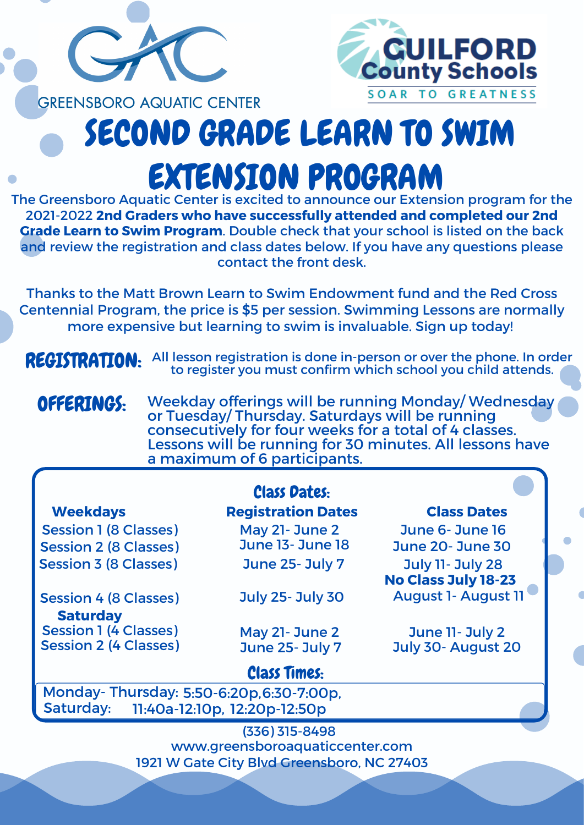

## **GREENSBORO AQUATIC CENTER** SECOND GRADE LEARN TO SWIM EXTENSION PROGRAM

The Greensboro Aquatic Center is excited to announce our Extension program for the 2021-2022 **2nd Graders who have successfully attended and completed our 2nd Grade Learn to Swim Program**. Double check that your school is listed on the back and review the registration and class dates below. If you have any questions please contact the front desk.

Thanks to the Matt Brown Learn to Swim Endowment fund and the Red Cross Centennial Program, the price is \$5 per session. Swimming Lessons are normally more expensive but learning to swim is invaluable. Sign up today!

## REGISTRATION:

|                                                                                                   | <b>Class Dates:</b>       |                                                       |
|---------------------------------------------------------------------------------------------------|---------------------------|-------------------------------------------------------|
| <b>Weekdays</b>                                                                                   | <b>Registration Dates</b> | <b>Class Dates</b>                                    |
| <b>Session 1 (8 Classes)</b>                                                                      | May 21- June 2            | June 6- June 16                                       |
| <b>Session 2 (8 Classes)</b>                                                                      | <b>June 13- June 18</b>   | <b>June 20- June 30</b>                               |
| <b>Session 3 (8 Classes)</b>                                                                      | <b>June 25- July 7</b>    | <b>July 11- July 28</b><br><b>No Class July 18-23</b> |
| <b>Session 4 (8 Classes)</b><br><b>Saturday</b>                                                   | <b>July 25- July 30</b>   | <b>August 1- August 11</b>                            |
| <b>Session 1 (4 Classes)</b>                                                                      | May 21- June 2            | June 11- July 2                                       |
| <b>Session 2 (4 Classes)</b>                                                                      | <b>June 25- July 7</b>    | July 30- August 20                                    |
|                                                                                                   | <b>Class Times:</b>       |                                                       |
| Monday-Thursday: 5:50-6:20p, 6:30-7:00p,<br><b>Saturday:</b><br>11:40a-12:10p, 12:20p-12:50p      |                           |                                                       |
| $(336)$ 315-8498<br>www.greensboroaquaticcenter.com<br>1921 W Gate City Blvd Greensboro, NC 27403 |                           |                                                       |
|                                                                                                   |                           |                                                       |

Weekday offerings will be running Monday/ Wednesday or Tuesday/ Thursday. Saturdays will be running consecutively for four weeks for a total of 4 classes. OFFERINGS:

Lessons will be running for 30 minutes. All lessons have a maximum of 6 participants.

All lesson registration is done in-person or over the phone. In order to register you must confirm which school you child attends.